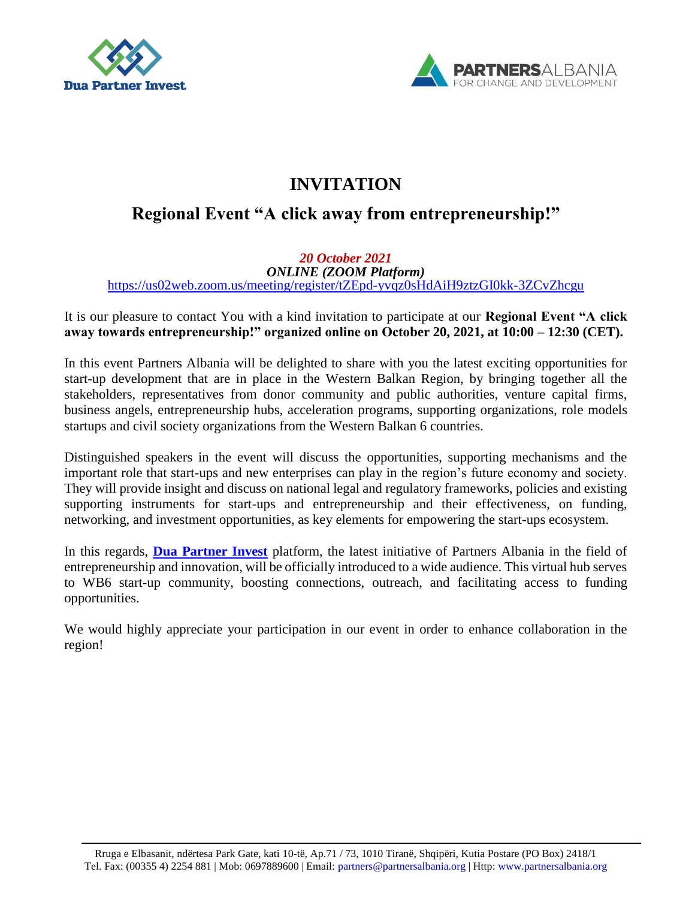



# **INVITATION**

## **Regional Event "A click away from entrepreneurship!"**

*20 October 2021 ONLINE (ZOOM Platform)*  <https://us02web.zoom.us/meeting/register/tZEpd-yvqz0sHdAiH9ztzGI0kk-3ZCvZhcgu>

It is our pleasure to contact You with a kind invitation to participate at our **Regional Event "A click away towards entrepreneurship!" organized online on October 20, 2021, at 10:00 – 12:30 (CET).**

In this event Partners Albania will be delighted to share with you the latest exciting opportunities for start-up development that are in place in the Western Balkan Region, by bringing together all the stakeholders, representatives from donor community and public authorities, venture capital firms, business angels, entrepreneurship hubs, acceleration programs, supporting organizations, role models startups and civil society organizations from the Western Balkan 6 countries.

Distinguished speakers in the event will discuss the opportunities, supporting mechanisms and the important role that start-ups and new enterprises can play in the region's future economy and society. They will provide insight and discuss on national legal and regulatory frameworks, policies and existing supporting instruments for start-ups and entrepreneurship and their effectiveness, on funding, networking, and investment opportunities, as key elements for empowering the start-ups ecosystem.

In this regards, **[Dua Partner Invest](https://www.duapartnerinvest.com/homepage)** platform, the latest initiative of Partners Albania in the field of entrepreneurship and innovation, will be officially introduced to a wide audience. This virtual hub serves to WB6 start-up community, boosting connections, outreach, and facilitating access to funding opportunities.

We would highly appreciate your participation in our event in order to enhance collaboration in the region!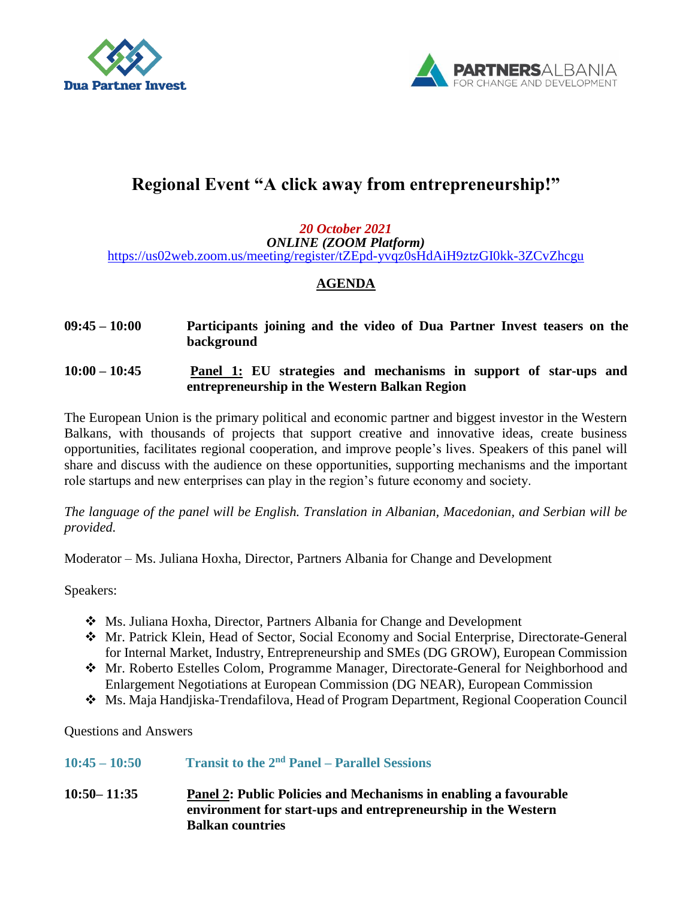



# **Regional Event "A click away from entrepreneurship!"**

### *20 October 2021 ONLINE (ZOOM Platform)*  <https://us02web.zoom.us/meeting/register/tZEpd-yvqz0sHdAiH9ztzGI0kk-3ZCvZhcgu>

## **AGENDA**

- **09:45 – 10:00 Participants joining and the video of Dua Partner Invest teasers on the background**
- **10:00 – 10:45 Panel 1: EU strategies and mechanisms in support of star-ups and entrepreneurship in the Western Balkan Region**

The European Union is the primary political and economic partner and biggest investor in the Western Balkans, with thousands of projects that support creative and innovative ideas, create business opportunities, facilitates regional cooperation, and improve people's lives. Speakers of this panel will share and discuss with the audience on these opportunities, supporting mechanisms and the important role startups and new enterprises can play in the region's future economy and society.

*The language of the panel will be English. Translation in Albanian, Macedonian, and Serbian will be provided.*

Moderator – Ms. Juliana Hoxha, Director, Partners Albania for Change and Development

Speakers:

- Ms. Juliana Hoxha, Director, Partners Albania for Change and Development
- Mr. Patrick Klein, Head of Sector, Social Economy and Social Enterprise, Directorate-General for Internal Market, Industry, Entrepreneurship and SMEs (DG GROW), European Commission
- Mr. Roberto Estelles Colom, Programme Manager, Directorate-General for Neighborhood and Enlargement Negotiations at European Commission (DG NEAR), European Commission
- Ms. Maja Handjiska-Trendafilova, Head of Program Department, Regional Cooperation Council

Questions and Answers

| $10:45 - 10:50$ | <b>Transit to the <math>2nd</math> Panel – Parallel Sessions</b> |  |
|-----------------|------------------------------------------------------------------|--|
|                 |                                                                  |  |

**10:50– 11:35 Panel 2: Public Policies and Mechanisms in enabling a favourable environment for start-ups and entrepreneurship in the Western Balkan countries**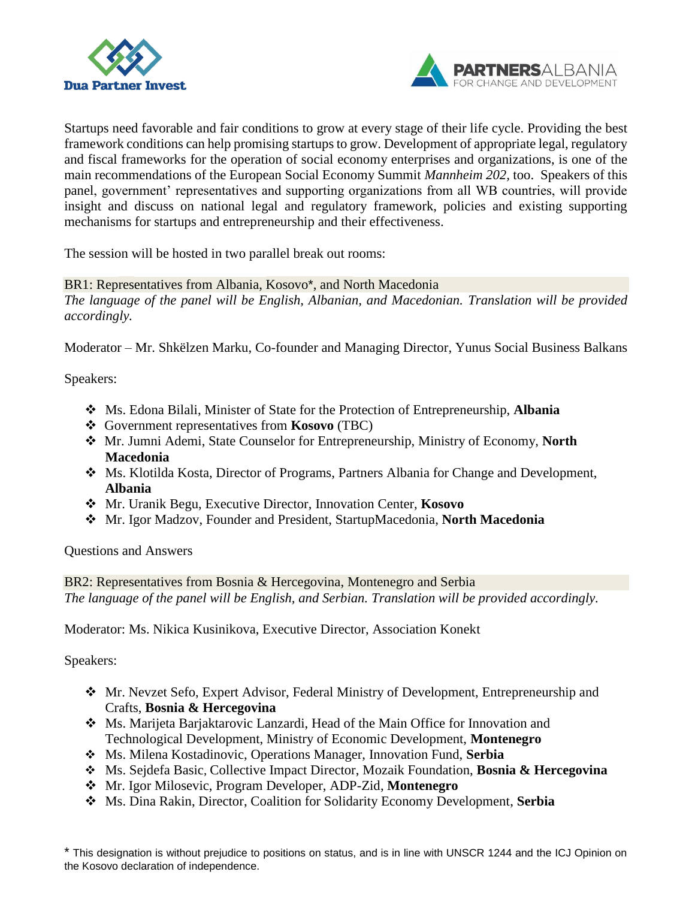



Startups need favorable and fair conditions to grow at every stage of their life cycle. Providing the best framework conditions can help promising startups to grow. Development of appropriate legal, regulatory and fiscal frameworks for the operation of social economy enterprises and organizations, is one of the main recommendations of the European Social Economy Summit *Mannheim 202,* too. Speakers of this panel, government' representatives and supporting organizations from all WB countries, will provide insight and discuss on national legal and regulatory framework, policies and existing supporting mechanisms for startups and entrepreneurship and their effectiveness.

The session will be hosted in two parallel break out rooms:

### BR1: Representatives from Albania, Kosovo\*, and North Macedonia

*The language of the panel will be English, Albanian, and Macedonian. Translation will be provided accordingly.*

Moderator – Mr. Shkëlzen Marku, Co-founder and Managing Director, Yunus Social Business Balkans

Speakers:

- Ms. Edona Bilali, Minister of State for the Protection of Entrepreneurship, **Albania**
- Government representatives from **Kosovo** (TBC)
- Mr. Jumni Ademi, State Counselor for Entrepreneurship, Ministry of Economy, **North Macedonia**
- Ms. Klotilda Kosta, Director of Programs, Partners Albania for Change and Development, **Albania**
- Mr. Uranik Begu, Executive Director, Innovation Center, **Kosovo**
- Mr. Igor Madzov, Founder and President, StartupMacedonia, **North Macedonia**

Questions and Answers

BR2: Representatives from Bosnia & Hercegovina, Montenegro and Serbia *The language of the panel will be English, and Serbian. Translation will be provided accordingly.*

Moderator: Ms. Nikica Kusinikova, Executive Director, Association Konekt

Speakers:

- Mr. Nevzet Sefo, Expert Advisor, Federal Ministry of Development, Entrepreneurship and Crafts, **Bosnia & Hercegovina**
- Ms. Marijeta Barjaktarovic Lanzardi, Head of the Main Office for Innovation and Technological Development, Ministry of Economic Development, **Montenegro**
- Ms. Milena Kostadinovic, Operations Manager, Innovation Fund, **Serbia**
- Ms. Sejdefa Basic, Collective Impact Director, Mozaik Foundation, **Bosnia & Hercegovina**
- Mr. Igor Milosevic, Program Developer, ADP-Zid, **Montenegro**
- Ms. Dina Rakin, Director, Coalition for Solidarity Economy Development, **Serbia**

\* This designation is without prejudice to positions on status, and is in line with UNSCR 1244 and the ICJ Opinion on the Kosovo declaration of independence.